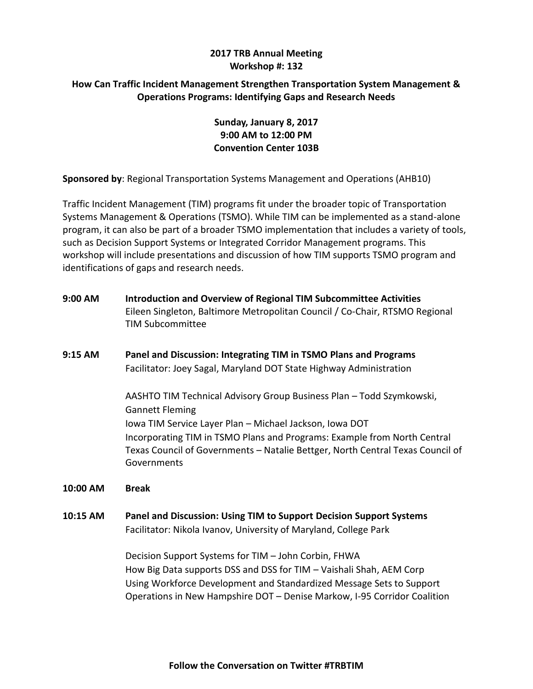## **2017 TRB Annual Meeting Workshop #: 132**

## **How Can Traffic Incident Management Strengthen Transportation System Management & Operations Programs: Identifying Gaps and Research Needs**

# **Sunday, January 8, 2017 9:00 AM to 12:00 PM Convention Center 103B**

**Sponsored by**: Regional Transportation Systems Management and Operations (AHB10)

Traffic Incident Management (TIM) programs fit under the broader topic of Transportation Systems Management & Operations (TSMO). While TIM can be implemented as a stand-alone program, it can also be part of a broader TSMO implementation that includes a variety of tools, such as Decision Support Systems or Integrated Corridor Management programs. This workshop will include presentations and discussion of how TIM supports TSMO program and identifications of gaps and research needs.

- **9:00 AM Introduction and Overview of Regional TIM Subcommittee Activities**  Eileen Singleton, Baltimore Metropolitan Council / Co-Chair, RTSMO Regional TIM Subcommittee
- **9:15 AM Panel and Discussion: Integrating TIM in TSMO Plans and Programs** Facilitator: Joey Sagal, Maryland DOT State Highway Administration

AASHTO TIM Technical Advisory Group Business Plan – Todd Szymkowski, Gannett Fleming Iowa TIM Service Layer Plan – Michael Jackson, Iowa DOT Incorporating TIM in TSMO Plans and Programs: Example from North Central Texas Council of Governments – Natalie Bettger, North Central Texas Council of Governments

**10:00 AM Break**

**10:15 AM Panel and Discussion: Using TIM to Support Decision Support Systems**  Facilitator: Nikola Ivanov, University of Maryland, College Park

> Decision Support Systems for TIM – John Corbin, FHWA How Big Data supports DSS and DSS for TIM – Vaishali Shah, AEM Corp Using Workforce Development and Standardized Message Sets to Support Operations in New Hampshire DOT – Denise Markow, I-95 Corridor Coalition